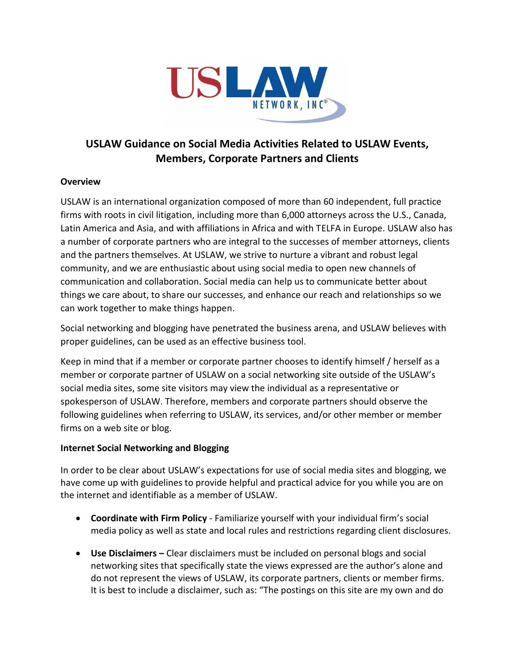

## **USLAW Guidance on Social Media Activities Related to USLAW Events, Members, Corporate Partners and Clients**

## **Overview**

USLAW is an international organization composed of more than 60 independent, full practice firms with roots in civil litigation, including more than 6,000 attorneys across the U.S., Canada, Latin America and Asia, and with affiliations in Africa and with TELFA in Europe. USLAW also has a number of corporate partners who are integral to the successes of member attorneys, clients and the partners themselves. At USLAW, we strive to nurture a vibrant and robust legal community, and we are enthusiastic about using social media to open new channels of communication and collaboration. Social media can help us to communicate better about things we care about, to share our successes, and enhance our reach and relationships so we can work together to make things happen.

Social networking and blogging have penetrated the business arena, and USLAW believes with proper guidelines, can be used as an effective business tool.

Keep in mind that if a member or corporate partner chooses to identify himself / herself as a member or corporate partner of USLAW on a social networking site outside of the USLAW's social media sites, some site visitors may view the individual as a representative or spokesperson of USLAW. Therefore, members and corporate partners should observe the following guidelines when referring to USLAW, its services, and/or other member or member firms on a web site or blog.

## **Internet Social Networking and Blogging**

In order to be clear about USLAW's expectations for use of social media sites and blogging, we have come up with guidelines to provide helpful and practical advice for you while you are on the internet and identifiable as a member of USLAW.

- **Coordinate with Firm Policy** Familiarize yourself with your individual firm's social media policy as well as state and local rules and restrictions regarding client disclosures.
- **Use Disclaimers –** Clear disclaimers must be included on personal blogs and social networking sites that specifically state the views expressed are the author's alone and do not represent the views of USLAW, its corporate partners, clients or member firms. It is best to include a disclaimer, such as: "The postings on this site are my own and do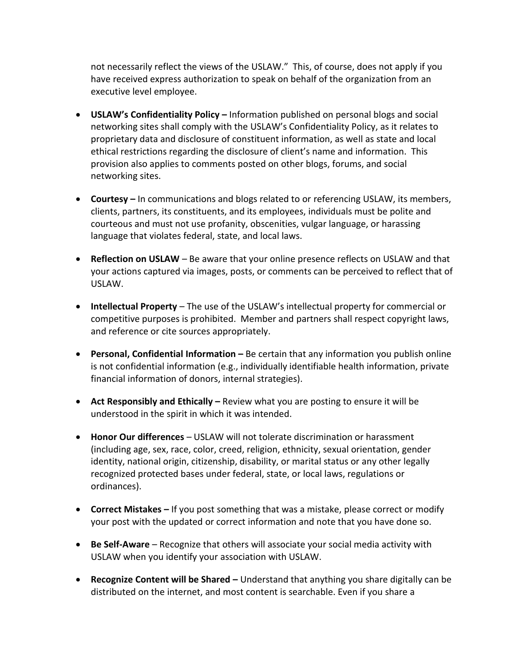not necessarily reflect the views of the USLAW." This, of course, does not apply if you have received express authorization to speak on behalf of the organization from an executive level employee.

- **USLAW's Confidentiality Policy –** Information published on personal blogs and social networking sites shall comply with the USLAW's Confidentiality Policy, as it relates to proprietary data and disclosure of constituent information, as well as state and local ethical restrictions regarding the disclosure of client's name and information. This provision also applies to comments posted on other blogs, forums, and social networking sites.
- **Courtesy –** In communications and blogs related to or referencing USLAW, its members, clients, partners, its constituents, and its employees, individuals must be polite and courteous and must not use profanity, obscenities, vulgar language, or harassing language that violates federal, state, and local laws.
- **Reflection on USLAW** Be aware that your online presence reflects on USLAW and that your actions captured via images, posts, or comments can be perceived to reflect that of USLAW.
- **Intellectual Property** The use of the USLAW's intellectual property for commercial or competitive purposes is prohibited. Member and partners shall respect copyright laws, and reference or cite sources appropriately.
- **Personal, Confidential Information –** Be certain that any information you publish online is not confidential information (e.g., individually identifiable health information, private financial information of donors, internal strategies).
- **Act Responsibly and Ethically –** Review what you are posting to ensure it will be understood in the spirit in which it was intended.
- **Honor Our differences**  USLAW will not tolerate discrimination or harassment (including age, sex, race, color, creed, religion, ethnicity, sexual orientation, gender identity, national origin, citizenship, disability, or marital status or any other legally recognized protected bases under federal, state, or local laws, regulations or ordinances).
- **Correct Mistakes –** If you post something that was a mistake, please correct or modify your post with the updated or correct information and note that you have done so.
- **Be Self-Aware**  Recognize that others will associate your social media activity with USLAW when you identify your association with USLAW.
- **Recognize Content will be Shared –** Understand that anything you share digitally can be distributed on the internet, and most content is searchable. Even if you share a